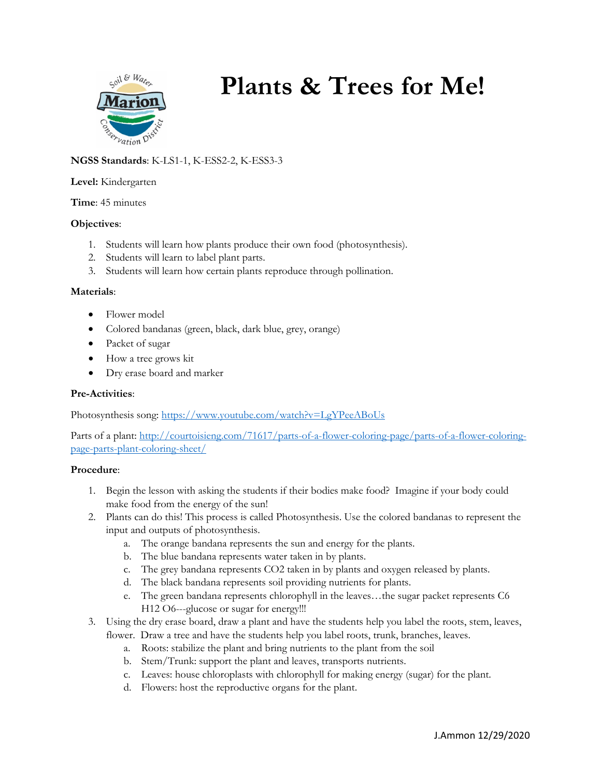

# **Plants & Trees for Me!**

# **NGSS Standards**: K-LS1-1, K-ESS2-2, K-ESS3-3

#### **Level:** Kindergarten

**Time**: 45 minutes

## **Objectives**:

- 1. Students will learn how plants produce their own food (photosynthesis).
- 2. Students will learn to label plant parts.
- 3. Students will learn how certain plants reproduce through pollination.

#### **Materials**:

- Flower model
- Colored bandanas (green, black, dark blue, grey, orange)
- Packet of sugar
- How a tree grows kit
- Dry erase board and marker

## **Pre-Activities**:

Photosynthesis song:<https://www.youtube.com/watch?v=LgYPeeABoUs>

Parts of a plant: [http://courtoisieng.com/71617/parts-of-a-flower-coloring-page/parts-of-a-flower-coloring](http://courtoisieng.com/71617/parts-of-a-flower-coloring-page/parts-of-a-flower-coloring-page-parts-plant-coloring-sheet/)[page-parts-plant-coloring-sheet/](http://courtoisieng.com/71617/parts-of-a-flower-coloring-page/parts-of-a-flower-coloring-page-parts-plant-coloring-sheet/)

## **Procedure**:

- 1. Begin the lesson with asking the students if their bodies make food? Imagine if your body could make food from the energy of the sun!
- 2. Plants can do this! This process is called Photosynthesis. Use the colored bandanas to represent the input and outputs of photosynthesis.
	- a. The orange bandana represents the sun and energy for the plants.
	- b. The blue bandana represents water taken in by plants.
	- c. The grey bandana represents CO2 taken in by plants and oxygen released by plants.
	- d. The black bandana represents soil providing nutrients for plants.
	- e. The green bandana represents chlorophyll in the leaves…the sugar packet represents C6 H12 O6---glucose or sugar for energy!!!
- 3. Using the dry erase board, draw a plant and have the students help you label the roots, stem, leaves, flower. Draw a tree and have the students help you label roots, trunk, branches, leaves.
	- a. Roots: stabilize the plant and bring nutrients to the plant from the soil
	- b. Stem/Trunk: support the plant and leaves, transports nutrients.
	- c. Leaves: house chloroplasts with chlorophyll for making energy (sugar) for the plant.
	- d. Flowers: host the reproductive organs for the plant.